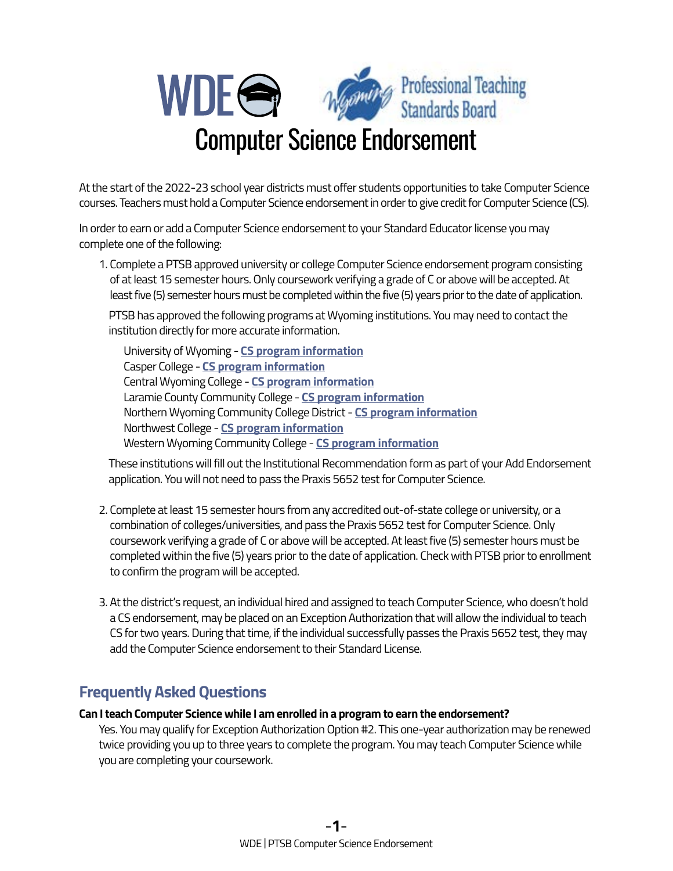

At the start of the 2022-23 school year districts must offer students opportunities to take Computer Science courses. Teachers must hold a Computer Science endorsement in order to give credit for Computer Science (CS).

In order to earn or add a Computer Science endorsement to your Standard Educator license you may complete one of the following:

1. Complete a PTSB approved university or college Computer Science endorsement program consisting of at least 15 semester hours. Only coursework verifying a grade of C or above will be accepted. At least five (5) semester hours must be completed within the five (5) years prior to the date of application.

PTSB has approved the following programs at Wyoming institutions. You may need to contact the institution directly for more accurate information.

University of Wyoming - **[CS program information](http://www.uwyo.edu/education/current-students/certificate-endorsement.html)**  Casper College - **[CS program information](https://www.caspercollege.edu/program/computer-science/)**  Central Wyoming College - **[CS program information](https://www.cwc.edu/programs/science-tech-engineering-math/computer-science/)**  Laramie County Community College - **[CS program information](http://lccc.wy.edu/pathways/sciTechEngMath/computerScienceProgram/computerScienceK12.aspx)**  Northern Wyoming Community College District - **[CS program information](https://www.sheridan.edu/business-community/teachers-courses/)**  Northwest College - **[CS program information](https://area10.nwc.edu/NwcForms/AcademicMap/Details/1430)**  Western Wyoming Community College - **[CS program information](https://www.westernwyoming.edu/academics/major-programs/computer-science/computer-science/degrees-certificates.php)** 

These institutions will fill out the Institutional Recommendation form as part of your Add Endorsement application. You will not need to pass the Praxis 5652 test for Computer Science.

- 2. Complete at least 15 semester hours from any accredited out-of-state college or university, or a combination of colleges/universities, and pass the Praxis 5652 test for Computer Science. Only coursework verifying a grade of C or above will be accepted. At least five (5) semester hours must be completed within the five (5) years prior to the date of application. Check with PTSB prior to enrollment to confirm the program will be accepted.
- 3. At the district's request, an individual hired and assigned to teach Computer Science, who doesn't hold a CS endorsement, may be placed on an Exception Authorization that will allow the individual to teach CS for two years. During that time, if the individual successfully passes the Praxis 5652 test, they may add the Computer Science endorsement to their Standard License.

# **Frequently Asked Questions**

# **Can I teach Computer Science while I am enrolled in a program to earn the endorsement?**

Yes. You may qualify for Exception Authorization Option #2. This one-year authorization may be renewed twice providing you up to three years to complete the program. You may teach Computer Science while you are completing your coursework.